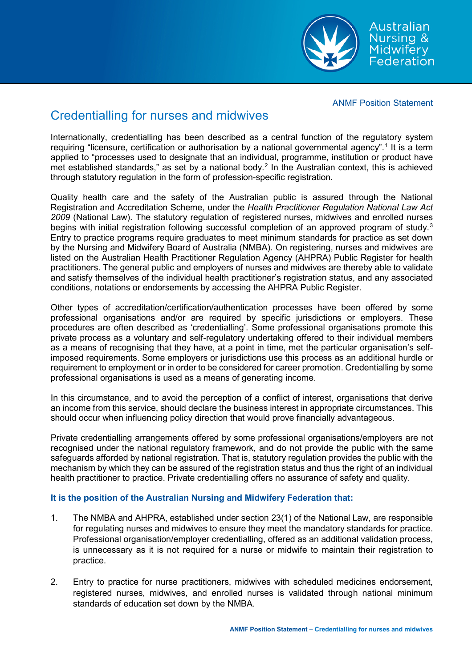ANMF Position Statement

Australian Nursing & **Midwifery** Federation

## Credentialling for nurses and midwives

Internationally, credentialling has been described as a central function of the regulatory system requiring "licensure, certification or authorisation by a national governmental agency".<sup>[1](#page-2-0)</sup> It is a term applied to "processes used to designate that an individual, programme, institution or product have met established standards," as set by a national body. $<sup>2</sup>$  $<sup>2</sup>$  $<sup>2</sup>$  In the Australian context, this is achieved</sup> through statutory regulation in the form of profession-specific registration.

Quality health care and the safety of the Australian public is assured through the National Registration and Accreditation Scheme, under the *Health Practitioner Regulation National Law Act 2009* (National Law). The statutory regulation of registered nurses, midwives and enrolled nurses begins with initial registration following successful completion of an approved program of study.<sup>[3](#page-2-2)</sup> Entry to practice programs require graduates to meet minimum standards for practice as set down by the Nursing and Midwifery Board of Australia (NMBA). On registering, nurses and midwives are listed on the Australian Health Practitioner Regulation Agency (AHPRA) Public Register for health practitioners. The general public and employers of nurses and midwives are thereby able to validate and satisfy themselves of the individual health practitioner's registration status, and any associated conditions, notations or endorsements by accessing the AHPRA Public Register.

Other types of accreditation/certification/authentication processes have been offered by some professional organisations and/or are required by specific jurisdictions or employers. These procedures are often described as 'credentialling'. Some professional organisations promote this private process as a voluntary and self-regulatory undertaking offered to their individual members as a means of recognising that they have, at a point in time, met the particular organisation's selfimposed requirements. Some employers or jurisdictions use this process as an additional hurdle or requirement to employment or in order to be considered for career promotion. Credentialling by some professional organisations is used as a means of generating income.

In this circumstance, and to avoid the perception of a conflict of interest, organisations that derive an income from this service, should declare the business interest in appropriate circumstances. This should occur when influencing policy direction that would prove financially advantageous.

Private credentialling arrangements offered by some professional organisations/employers are not recognised under the national regulatory framework, and do not provide the public with the same safeguards afforded by national registration. That is, statutory regulation provides the public with the mechanism by which they can be assured of the registration status and thus the right of an individual health practitioner to practice. Private credentialling offers no assurance of safety and quality.

## **It is the position of the Australian Nursing and Midwifery Federation that:**

- 1. The NMBA and AHPRA, established under section 23(1) of the National Law, are responsible for regulating nurses and midwives to ensure they meet the mandatory standards for practice. Professional organisation/employer credentialling, offered as an additional validation process, is unnecessary as it is not required for a nurse or midwife to maintain their registration to practice.
- 2. Entry to practice for nurse practitioners, midwives with scheduled medicines endorsement, registered nurses, midwives, and enrolled nurses is validated through national minimum standards of education set down by the NMBA.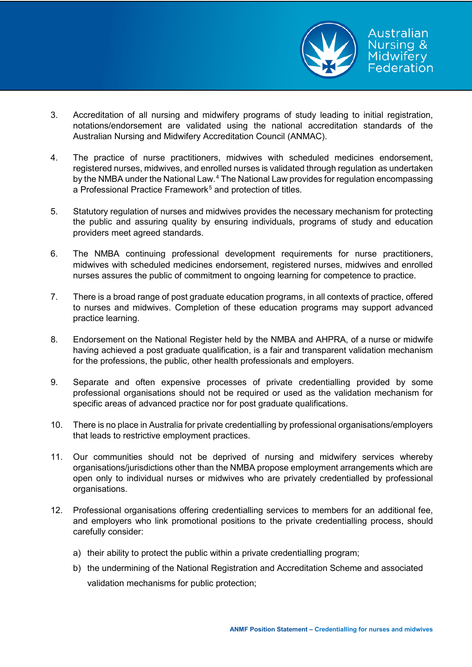

- 3. Accreditation of all nursing and midwifery programs of study leading to initial registration, notations/endorsement are validated using the national accreditation standards of the Australian Nursing and Midwifery Accreditation Council (ANMAC).
- 4. The practice of nurse practitioners, midwives with scheduled medicines endorsement, registered nurses, midwives, and enrolled nurses is validated through regulation as undertaken by the NMBA under the National Law.[4](#page-2-3) The National Law provides for regulation encompassing a Professional Practice Framework<sup>[5](#page-2-4)</sup> and protection of titles.
- 5. Statutory regulation of nurses and midwives provides the necessary mechanism for protecting the public and assuring quality by ensuring individuals, programs of study and education providers meet agreed standards.
- 6. The NMBA continuing professional development requirements for nurse practitioners, midwives with scheduled medicines endorsement, registered nurses, midwives and enrolled nurses assures the public of commitment to ongoing learning for competence to practice.
- 7. There is a broad range of post graduate education programs, in all contexts of practice, offered to nurses and midwives. Completion of these education programs may support advanced practice learning.
- 8. Endorsement on the National Register held by the NMBA and AHPRA, of a nurse or midwife having achieved a post graduate qualification, is a fair and transparent validation mechanism for the professions, the public, other health professionals and employers.
- 9. Separate and often expensive processes of private credentialling provided by some professional organisations should not be required or used as the validation mechanism for specific areas of advanced practice nor for post graduate qualifications.
- 10. There is no place in Australia for private credentialling by professional organisations/employers that leads to restrictive employment practices.
- 11. Our communities should not be deprived of nursing and midwifery services whereby organisations/jurisdictions other than the NMBA propose employment arrangements which are open only to individual nurses or midwives who are privately credentialled by professional organisations.
- 12. Professional organisations offering credentialling services to members for an additional fee, and employers who link promotional positions to the private credentialling process, should carefully consider:
	- a) their ability to protect the public within a private credentialling program;
	- b) the undermining of the National Registration and Accreditation Scheme and associated validation mechanisms for public protection;